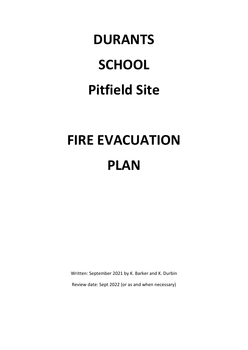# **DURANTS SCHOOL Pitfield Site**

## **FIRE EVACUATION PLAN**

Written: September 2021 by K. Barker and K. Durbin

Review date: Sept 2022 (or as and when necessary)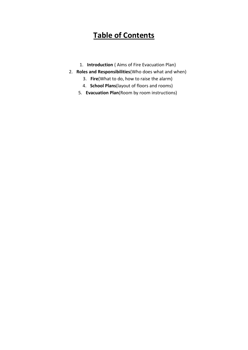## **Table of Contents**

- 1. **Introduction** ( Aims of Fire Evacuation Plan)
- 2. **Roles and Responsibilities**(Who does what and when)
	- 3. **Fire**(What to do, how to raise the alarm)
	- 4. **School Plans**(layout of floors and rooms)
	- 5. **Evacuation Plan**(Room by room instructions)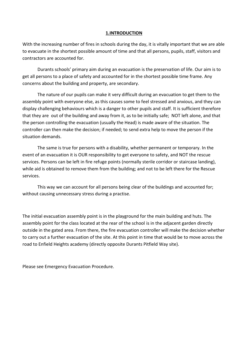#### **1.INTRODUCTION**

With the increasing number of fires in schools during the day, it is vitally important that we are able to evacuate in the shortest possible amount of time and that all persons, pupils, staff, visitors and contractors are accounted for.

Durants schools' primary aim during an evacuation is the preservation of life. Our aim is to get all persons to a place of safety and accounted for in the shortest possible time frame. Any concerns about the building and property, are secondary.

The nature of our pupils can make it very difficult during an evacuation to get them to the assembly point with everyone else, as this causes some to feel stressed and anxious, and they can display challenging behaviours which is a danger to other pupils and staff. It is sufficient therefore that they are out of the building and away from it, as to be initially safe; NOT left alone, and that the person controlling the evacuation (usually the Head) is made aware of the situation. The controller can then make the decision; if needed; to send extra help to move the person if the situation demands.

The same is true for persons with a disability, whether permanent or temporary. In the event of an evacuation it is OUR responsibility to get everyone to safety, and NOT the rescue services. Persons can be left in fire refuge points (normally sterile corridor or staircase landing), while aid is obtained to remove them from the building; and not to be left there for the Rescue services.

This way we can account for all persons being clear of the buildings and accounted for; without causing unnecessary stress during a practise.

The initial evacuation assembly point is in the playground for the main building and huts. The assembly point for the class located at the rear of the school is in the adjacent garden directly outside in the gated area. From there, the fire evacuation controller will make the decision whether to carry out a further evacuation of the site. At this point in time that would be to move across the road to Enfield Heights academy (directly opposite Durants Pitfield Way site).

Please see Emergency Evacuation Procedure.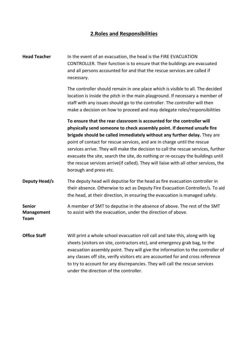### **2.Roles and Responsibilities**

**Head Teacher** In the event of an evacuation, the head is the FIRE EVACUATION CONTROLLER. Their function is to ensure that the buildings are evacuated and all persons accounted for and that the rescue services are called if necessary. The controller should remain in one place which is visible to all. The decided location is inside the pitch in the main playground. If necessary a member of staff with any issues should go to the controller. The controller will then make a decision on how to proceed and may delegate roles/responsibilities **To ensure that the rear classroom is accounted for the controller will physically send someone to check assembly point. If deemed unsafe fire brigade should be called immediately without any further delay.** They are point of contact for rescue services, and are in charge until the rescue services arrive. They will make the decision to call the rescue services, further evacuate the site, search the site, do nothing or re-occupy the buildings until the rescue services arrive(if called). They will liaise with all other services, the borough and press etc. **Deputy Head/s** The deputy head will deputise for the head as fire evacuation controller in their absence. Otherwise to act as Deputy Fire Evacuation Controller/s. To aid the head, at their direction, in ensuring the evacuation is managed safely. **Senior** A member of SMT to deputise in the absence of above. The rest of the SMT **Management** to assist with the evacuation, under the direction of above. **Team Office Staff** Will print a whole school evacuation roll call and take this, along with log sheets (visitors on site, contractors etc), and emergency grab bag, to the evacuation assembly point. They will give the information to the controller of any classes off site, verify visitors etc are accounted for and cross reference to try to account for any discrepancies. They will call the rescue services under the direction of the controller.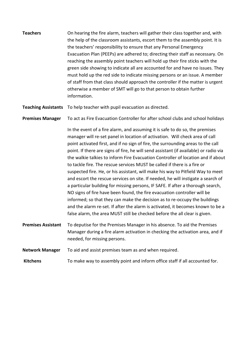| <b>Teachers</b> | On hearing the fire alarm, teachers will gather their class together and, with  |
|-----------------|---------------------------------------------------------------------------------|
|                 | the help of the classroom assistants, escort them to the assembly point. It is  |
|                 | the teachers' responsibility to ensure that any Personal Emergency              |
|                 | Evacuation Plan (PEEPs) are adhered to; directing their staff as necessary. On  |
|                 | reaching the assembly point teachers will hold up their fire sticks with the    |
|                 | green side showing to indicate all are accounted for and have no issues. They   |
|                 | must hold up the red side to indicate missing persons or an issue. A member     |
|                 | of staff from that class should approach the controller if the matter is urgent |
|                 | otherwise a member of SMT will go to that person to obtain further              |
|                 | information.                                                                    |

**Teaching Assistants** To help teacher with pupil evacuation as directed.

**Premises Manager** To act as Fire Evacuation Controller for after school clubs and school holidays

In the event of a fire alarm, and assuming it is safe to do so, the premises manager will re-set panel in location of activation. Will check area of call point activated first, and if no sign of fire, the surrounding areas to the call point. If there are signs of fire, he will send assistant (if available) or radio via the walkie talkies to inform Fire Evacuation Controller of location and if about to tackle fire. The rescue services MUST be called if there is a fire or suspected fire. He, or his assistant, will make his way to Pitfield Way to meet and escort the rescue services on site. If needed, he will instigate a search of a particular building for missing persons, IF SAFE. If after a thorough search, NO signs of fire have been found, the fire evacuation controller will be informed; so that they can make the decision as to re-occupy the buildings and the alarm re-set. If after the alarm is activated, it becomes known to be a false alarm, the area MUST still be checked before the all clear is given.

- **Premises Assistant** To deputise for the Premises Manager in his absence. To aid the Premises Manager during a fire alarm activation in checking the activation area, and if needed, for missing persons.
- **Network Manager** To aid and assist premises team as and when required.
- **Kitchens** To make way to assembly point and inform office staff if all accounted for.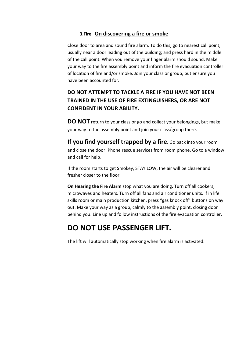#### **3.Fire On discovering a fire or smoke**

Close door to area and sound fire alarm. To do this, go to nearest call point, usually near a door leading out of the building; and press hard in the middle of the call point. When you remove your finger alarm should sound. Make your way to the fire assembly point and inform the fire evacuation controller of location of fire and/or smoke. Join your class or group, but ensure you have been accounted for.

## **DO NOT ATTEMPT TO TACKLE A FIRE IF YOU HAVE NOT BEEN TRAINED IN THE USE OF FIRE EXTINGUISHERS, OR ARE NOT CONFIDENT IN YOUR ABILITY.**

**DO NOT** return to your class or go and collect your belongings, but make your way to the assembly point and join your class/group there.

**If you find yourself trapped by a fire**. Go back into your room and close the door. Phone rescue services from room phone. Go to a window and call for help.

If the room starts to get Smokey, STAY LOW, the air will be clearer and fresher closer to the floor.

**On Hearing the Fire Alarm** stop what you are doing. Turn off all cookers, microwaves and heaters. Turn off all fans and air conditioner units. If in life skills room or main production kitchen, press "gas knock off" buttons on way out. Make your way as a group, calmly to the assembly point, closing door behind you. Line up and follow instructions of the fire evacuation controller.

## **DO NOT USE PASSENGER LIFT.**

The lift will automatically stop working when fire alarm is activated.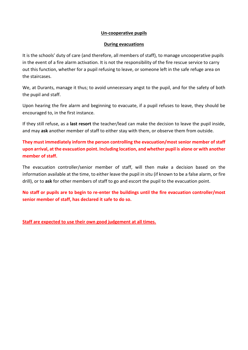#### **Un-cooperative pupils**

#### **During evacuations**

It is the schools' duty of care (and therefore, all members of staff), to manage uncooperative pupils in the event of a fire alarm activation. It is not the responsibility of the fire rescue service to carry out this function, whether for a pupil refusing to leave, or someone left in the safe refuge area on the staircases.

We, at Durants, manage it thus; to avoid unnecessary angst to the pupil, and for the safety of both the pupil and staff.

Upon hearing the fire alarm and beginning to evacuate, if a pupil refuses to leave, they should be encouraged to, in the first instance.

If they still refuse, as a **last resort** the teacher/lead can make the decision to leave the pupil inside, and may **ask** another member of staff to either stay with them, or observe them from outside.

**They must immediately inform the person controlling the evacuation/most senior member of staff upon arrival, at the evacuation point. Including location, and whether pupil is alone or with another member of staff.**

The evacuation controller/senior member of staff, will then make a decision based on the information available at the time, to either leave the pupil in situ (if known to be a false alarm, or fire drill), or to **ask** for other members of staff to go and escort the pupil to the evacuation point.

**No staff or pupils are to begin to re-enter the buildings until the fire evacuation controller/most senior member of staff, has declared it safe to do so.**

**Staff are expected to use their own good judgement at all times.**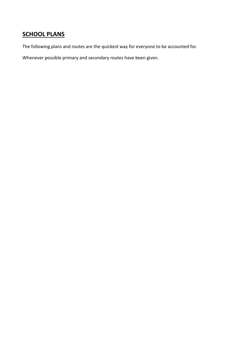## **SCHOOL PLANS**

The following plans and routes are the quickest way for everyone to be accounted for.

Whenever possible primary and secondary routes have been given.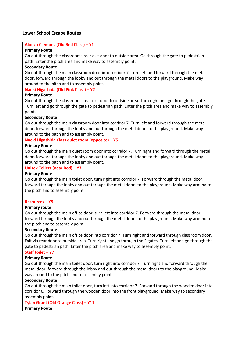#### **Lower School Escape Routes**

#### **Alonzo Clemons (Old Red Class) – Y1**

#### **Primary Route**

Go out through the classrooms rear exit door to outside area. Go through the gate to pedestrian path. Enter the pitch area and make way to assembly point.

#### **Secondary Route**

Go out through the main classroom door into corridor 7. Turn left and forward through the metal door, forward through the lobby and out through the metal doors to the playground. Make way around to the pitch and to assembly point.

**Naoki Higashida (Old Pink Class) – Y2**

#### **Primary Route**

Go out through the classrooms rear exit door to outside area. Turn right and go through the gate. Turn left and go through the gate to pedestrian path. Enter the pitch area and make way to assembly point.

#### **Secondary Route**

Go out through the main classroom door into corridor 7. Turn left and forward through the metal door, forward through the lobby and out through the metal doors to the playground. Make way around to the pitch and to assembly point.

#### **Naoki Higashida Class quiet room (opposite) – Y5**

#### **Primary Route**

Go out through the main quiet room door into corridor 7. Turn right and forward through the metal door, forward through the lobby and out through the metal doors to the playground. Make way around to the pitch and to assembly point.

#### **Unisex Toilets (near Red) – Y3**

#### **Primary Route**

Go out through the main toilet door, turn right into corridor 7. Forward through the metal door, forward through the lobby and out through the metal doors to the playground. Make way around to the pitch and to assembly point.

#### **Resources – Y9**

#### **Primary route**

Go out through the main office door, turn left into corridor 7. Forward through the metal door, forward through the lobby and out through the metal doors to the playground. Make way around to the pitch and to assembly point.

#### **Secondary Route**

Go out through the main office door into corridor 7. Turn right and forward through classroom door. Exit via rear door to outside area. Turn right and go through the 2 gates. Turn left and go through the gate to pedestrian path. Enter the pitch area and make way to assembly point.

#### **Staff toilet – Y7**

#### **Primary Route**

Go out through the main toilet door, turn right into corridor 7. Turn right and forward through the metal door, forward through the lobby and out through the metal doors to the playground. Make way around to the pitch and to assembly point.

#### **Secondary Route**

Go out through the main toilet door, turn left into corridor 7. Forward through the wooden door into corridor 6. Forward through the wooden door into the front playground. Make way to secondary assembly point.

**Tylan Grant (Old Orange Class) – Y11 Primary Route**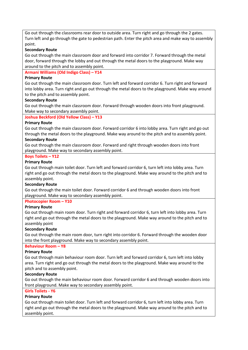Go out through the classrooms rear door to outside area. Turn right and go through the 2 gates. Turn left and go through the gate to pedestrian path. Enter the pitch area and make way to assembly point.

#### **Secondary Route**

Go out through the main classroom door and forward into corridor 7. Forward through the metal door, forward through the lobby and out through the metal doors to the playground. Make way around to the pitch and to assembly point.

#### **Armani Williams (Old Indigo Class) – Y14**

#### **Primary Route**

Go out through the main classroom door. Turn left and forward corridor 6. Turn right and forward into lobby area. Turn right and go out through the metal doors to the playground. Make way around to the pitch and to assembly point.

#### **Secondary Route**

Go out through the main classroom door. Forward through wooden doors into front playground. Make way to secondary assembly point.

#### **Joshua Beckford (Old Yellow Class) – Y13**

#### **Primary Route**

Go out through the main classroom door. Forward corridor 6 into lobby area. Turn right and go out through the metal doors to the playground. Make way around to the pitch and to assembly point. **Secondary Route** 

Go out through the main classroom door. Forward and right through wooden doors into front playground. Make way to secondary assembly point.

#### **Boys Toilets – Y12**

#### **Primary Route**

Go out through main toilet door. Turn left and forward corridor 6, turn left into lobby area. Turn right and go out through the metal doors to the playground. Make way around to the pitch and to assembly point.

#### **Secondary Route**

Go out through the main toilet door. Forward corridor 6 and through wooden doors into front playground. Make way to secondary assembly point.

#### **Photocopier Room – Y10**

#### **Primary Route**

Go out through main room door. Turn right and forward corridor 6, turn left into lobby area. Turn right and go out through the metal doors to the playground. Make way around to the pitch and to assembly point

#### **Secondary Route**

Go out through the main room door, turn right into corridor 6. Forward through the wooden door into the front playground. Make way to secondary assembly point.

#### **Behaviour Room – Y8**

#### **Primary Route**

Go out through main behaviour room door. Turn left and forward corridor 6, turn left into lobby area. Turn right and go out through the metal doors to the playground. Make way around to the pitch and to assembly point.

#### **Secondary Route**

Go out through the main behaviour room door. Forward corridor 6 and through wooden doors into front playground. Make way to secondary assembly point.

#### **Girls Toilets - Y6**

#### **Primary Route**

Go out through main toilet door. Turn left and forward corridor 6, turn left into lobby area. Turn right and go out through the metal doors to the playground. Make way around to the pitch and to assembly point.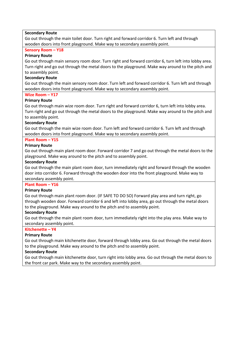#### **Secondary Route**

Go out through the main toilet door. Turn right and forward corridor 6. Turn left and through wooden doors into front playground. Make way to secondary assembly point.

#### **Sensory Room – Y18**

#### **Primary Route**

Go out through main sensory room door. Turn right and forward corridor 6, turn left into lobby area. Turn right and go out through the metal doors to the playground. Make way around to the pitch and to assembly point.

#### **Secondary Route**

Go out through the main sensory room door. Turn left and forward corridor 6. Turn left and through wooden doors into front playground. Make way to secondary assembly point.

#### **Wize Room – Y17**

#### **Primary Route**

Go out through main wize room door. Turn right and forward corridor 6, turn left into lobby area. Turn right and go out through the metal doors to the playground. Make way around to the pitch and to assembly point.

#### **Secondary Route**

Go out through the main wize room door. Turn left and forward corridor 6. Turn left and through wooden doors into front playground. Make way to secondary assembly point.

#### **Plant Room – Y15**

#### **Primary Route**

Go out through main plant room door. Forward corridor 7 and go out through the metal doors to the playground. Make way around to the pitch and to assembly point.

#### **Secondary Route**

Go out through the main plant room door, turn immediately right and forward through the wooden door into corridor 6. Forward through the wooden door into the front playground. Make way to secondary assembly point.

#### **Plant Room – Y16**

#### **Primary Route**

Go out through main plant room door. (IF SAFE TO DO SO) Forward play area and turn right, go through wooden door. Forward corridor 6 and left into lobby area, go out through the metal doors to the playground. Make way around to the pitch and to assembly point.

#### **Secondary Route**

Go out through the main plant room door, turn immediately right into the play area. Make way to secondary assembly point.

#### **Kitchenette – Y4**

#### **Primary Route**

Go out through main kitchenette door, forward through lobby area. Go out through the metal doors to the playground. Make way around to the pitch and to assembly point.

#### **Secondary Route**

Go out through main kitchenette door, turn right into lobby area. Go out through the metal doors to the front car park. Make way to the secondary assembly point.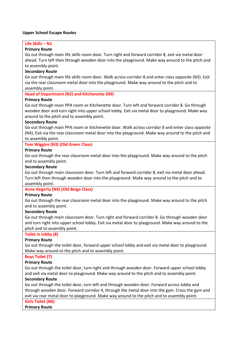#### **Upper School Escape Routes**

## **Life Skills – N1**

#### **Primary Route**

Go out through main life skills room door. Turn right and forward corridor 8, exit via metal door ahead. Turn left then through wooden door into the playground. Make way around to the pitch and to assembly point.

#### **Secondary Route**

Go out through main life skills room door. Walk across corridor 8 and enter class opposite (N3). Exit via the rear classroom metal door into the playground. Make way around to the pitch and to assembly point.

#### **Head of Department (N2) and Kitchenette (N9)**

#### **Primary Route**

Go out through main PPA room or Kitchenette door. Turn left and forward corridor 8. Go through wooden door and turn right into upper school lobby. Exit via metal door to playground. Make way around to the pitch and to assembly point.

#### **Secondary Route**

Go out through main PPA room or kitchenette door. Walk across corridor 8 and enter class opposite (N4). Exit via the rear classroom metal door into the playground. Make way around to the pitch and to assembly point.

#### **Tom Wiggins (N3) (Old Green Class)**

#### **Primary Route**

Go out through the rear classroom metal door into the playground. Make way around to the pitch and to assembly point.

#### **Secondary Route**

Go out through main classroom door. Turn left and forward corridor 8, exit via metal door ahead. Turn left then through wooden door into the playground. Make way around to the pitch and to assembly point.

#### **Anne Hegerty (N4) (Old Beige Class)**

#### **Primary Route**

Go out through the rear classroom metal door into the playground. Make way around to the pitch and to assembly point.

#### **Secondary Route**

Go out through main classroom door. Turn right and forward corridor 8. Go through wooden door and turn right into upper school lobby. Exit via metal door to playground. Make way around to the pitch and to assembly point.

#### **Toilet in lobby (8)**

#### **Primary Route**

Go out through the toilet door, forward upper school lobby and exit via metal door to playground. Make way around to the pitch and to assembly point.

#### **Boys Toilet (7)**

#### **Primary Route**

Go out through the toilet door, turn right and through wooden door. Forward upper school lobby and exit via metal door to playground. Make way around to the pitch and to assembly point.

#### **Secondary Route**

Go out through the toilet door, turn left and through wooden door. Forward across lobby and through wooden door. Forward corridor 4, through the metal door into the gym. Cross the gym and exit via rear metal door to playground. Make way around to the pitch and to assembly point.

#### **Girls Toilet (N6)**

**Primary Route**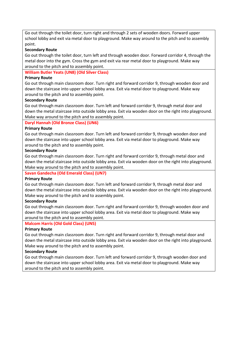Go out through the toilet door, turn right and through 2 sets of wooden doors. Forward upper school lobby and exit via metal door to playground. Make way around to the pitch and to assembly point.

#### **Secondary Route**

Go out through the toilet door, turn left and through wooden door. Forward corridor 4, through the metal door into the gym. Cross the gym and exit via rear metal door to playground. Make way around to the pitch and to assembly point.

#### **William Butler Yeats (UN8) (Old Silver Class)**

#### **Primary Route**

Go out through main classroom door. Turn right and forward corridor 9, through wooden door and down the staircase into upper school lobby area. Exit via metal door to playground. Make way around to the pitch and to assembly point.

#### **Secondary Route**

Go out through main classroom door. Turn left and forward corridor 9, through metal door and down the metal staircase into outside lobby area. Exit via wooden door on the right into playground. Make way around to the pitch and to assembly point.

#### **Daryl Hannah (Old Bronze Class) (UN6)**

#### **Primary Route**

Go out through main classroom door. Turn left and forward corridor 9, through wooden door and down the staircase into upper school lobby area. Exit via metal door to playground. Make way around to the pitch and to assembly point.

#### **Secondary Route**

Go out through main classroom door. Turn right and forward corridor 9, through metal door and down the metal staircase into outside lobby area. Exit via wooden door on the right into playground. Make way around to the pitch and to assembly point.

#### **Savan Gandecha (Old Emerald Class) (UN7)**

#### **Primary Route**

Go out through main classroom door. Turn left and forward corridor 9, through metal door and down the metal staircase into outside lobby area. Exit via wooden door on the right into playground. Make way around to the pitch and to assembly point.

#### **Secondary Route**

Go out through main classroom door. Turn right and forward corridor 9, through wooden door and down the staircase into upper school lobby area. Exit via metal door to playground. Make way around to the pitch and to assembly point.

#### **Malcom Harris (Old Gold Class) (UN5)**

#### **Primary Route**

Go out through main classroom door. Turn right and forward corridor 9, through metal door and down the metal staircase into outside lobby area. Exit via wooden door on the right into playground. Make way around to the pitch and to assembly point.

#### **Secondary Route**

Go out through main classroom door. Turn left and forward corridor 9, through wooden door and down the staircase into upper school lobby area. Exit via metal door to playground. Make way around to the pitch and to assembly point.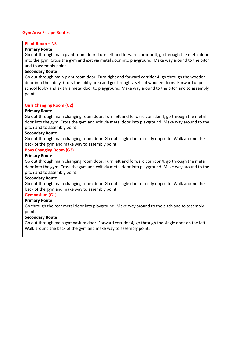#### **Gym Area Escape Routes**

#### **Plant Room – N5**

#### **Primary Route**

Go out through main plant room door. Turn left and forward corridor 4, go through the metal door into the gym. Cross the gym and exit via metal door into playground. Make way around to the pitch and to assembly point.

#### **Secondary Route**

Go out through main plant room door. Turn right and forward corridor 4, go through the wooden door into the lobby. Cross the lobby area and go through 2 sets of wooden doors. Forward upper school lobby and exit via metal door to playground. Make way around to the pitch and to assembly point.

#### **Girls Changing Room (G2)**

#### **Primary Route**

Go out through main changing room door. Turn left and forward corridor 4, go through the metal door into the gym. Cross the gym and exit via metal door into playground. Make way around to the pitch and to assembly point.

#### **Secondary Route**

Go out through main changing room door. Go out single door directly opposite. Walk around the back of the gym and make way to assembly point.

#### **Boys Changing Room (G3)**

#### **Primary Route**

Go out through main changing room door. Turn left and forward corridor 4, go through the metal door into the gym. Cross the gym and exit via metal door into playground. Make way around to the pitch and to assembly point.

#### **Secondary Route**

Go out through main changing room door. Go out single door directly opposite. Walk around the back of the gym and make way to assembly point.

#### **Gymnasium (G1)**

#### **Primary Route**

Go through the rear metal door into playground. Make way around to the pitch and to assembly point.

#### **Secondary Route**

Go out through main gymnasium door. Forward corridor 4, go through the single door on the left. Walk around the back of the gym and make way to assembly point.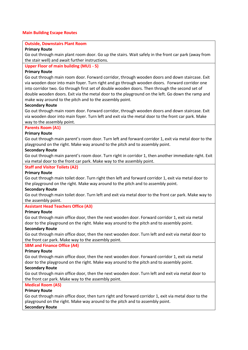#### **Main Building Escape Routes**

#### **Outside, Downstairs Plant Room**

#### **Primary Route**

Go out through main plant room door. Go up the stairs. Wait safely in the front car park (away from the stair well) and await further instructions.

#### **Upper Floor of main building (MU1 - 5)**

#### **Primary Route**

Go out through main room door. Forward corridor, through wooden doors and down staircase. Exit via wooden door into main foyer. Turn right and go through wooden doors. Forward corridor one into corridor two. Go through first set of double wooden doors. Then through the second set of double wooden doors. Exit via the metal door to the playground on the left. Go down the ramp and make way around to the pitch and to the assembly point.

#### **Secondary Route**

Go out through main room door. Forward corridor, through wooden doors and down staircase. Exit via wooden door into main foyer. Turn left and exit via the metal door to the front car park. Make way to the assembly point.

#### **Parents Room (A1)**

#### **Primary Route**

Go out through main parent's room door. Turn left and forward corridor 1, exit via metal door to the playground on the right. Make way around to the pitch and to assembly point.

#### **Secondary Route**

Go out through main parent's room door. Turn right in corridor 1, then another immediate right. Exit via metal door to the front car park. Make way to the assembly point.

#### **Staff and Visitor Toilets (A2)**

#### **Primary Route**

Go out through main toilet door. Turn right then left and forward corridor 1, exit via metal door to the playground on the right. Make way around to the pitch and to assembly point.

#### **Secondary Route**

Go out through main toilet door. Turn left and exit via metal door to the front car park. Make way to the assembly point.

#### **Assistant Head Teachers Office (A3)**

#### **Primary Route**

Go out through main office door, then the next wooden door. Forward corridor 1, exit via metal door to the playground on the right. Make way around to the pitch and to assembly point.

#### **Secondary Route**

Go out through main office door, then the next wooden door. Turn left and exit via metal door to the front car park. Make way to the assembly point.

#### **SBM and Finance Office (A4)**

#### **Primary Route**

Go out through main office door, then the next wooden door. Forward corridor 1, exit via metal door to the playground on the right. Make way around to the pitch and to assembly point.

#### **Secondary Route**

Go out through main office door, then the next wooden door. Turn left and exit via metal door to the front car park. Make way to the assembly point.

#### **Medical Room (A5)**

#### **Primary Route**

Go out through main office door, then turn right and forward corridor 1, exit via metal door to the playground on the right. Make way around to the pitch and to assembly point. **Secondary Route**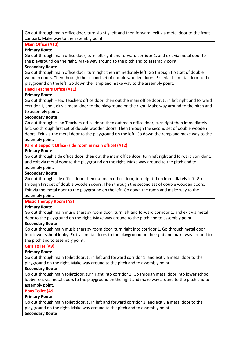Go out through main office door, turn slightly left and then forward, exit via metal door to the front car park. Make way to the assembly point.

#### **Main Office (A10)**

#### **Primary Route**

Go out through main office door, turn left right and forward corridor 1, and exit via metal door to the playground on the right. Make way around to the pitch and to assembly point.

#### **Secondary Route**

Go out through main office door, turn right then immediately left. Go through first set of double wooden doors. Then through the second set of double wooden doors. Exit via the metal door to the playground on the left. Go down the ramp and make way to the assembly point.

#### **Head Teachers Office (A11)**

#### **Primary Route**

Go out through Head Teachers office door, then out the main office door, turn left right and forward corridor 1, and exit via metal door to the playground on the right. Make way around to the pitch and to assembly point.

#### **Secondary Route**

Go out through Head Teachers office door, then out main office door, turn right then immediately left. Go through first set of double wooden doors. Then through the second set of double wooden doors. Exit via the metal door to the playground on the left. Go down the ramp and make way to the assembly point.

#### **Parent Support Office (side room in main office) (A12)**

#### **Primary Route**

Go out through side office door, then out the main office door, turn left right and forward corridor 1, and exit via metal door to the playground on the right. Make way around to the pitch and to assembly point.

#### **Secondary Route**

Go out through side office door, then out main office door, turn right then immediately left. Go through first set of double wooden doors. Then through the second set of double wooden doors. Exit via the metal door to the playground on the left. Go down the ramp and make way to the assembly point.

#### **Music Therapy Room (A8)**

#### **Primary Route**

Go out through main music therapy room door, turn left and forward corridor 1, and exit via metal door to the playground on the right. Make way around to the pitch and to assembly point.

#### **Secondary Route**

Go out through main music therapy room door, turn right into corridor 1. Go through metal door into lower school lobby. Exit via metal doors to the playground on the right and make way around to the pitch and to assembly point.

#### **Girls Toilet (A9)**

#### **Primary Route**

Go out through main toilet door, turn left and forward corridor 1, and exit via metal door to the playground on the right. Make way around to the pitch and to assembly point.

#### **Secondary Route**

Go out through main toiletdoor, turn right into corridor 1. Go through metal door into lower school lobby. Exit via metal doors to the playground on the right and make way around to the pitch and to assembly point.

#### **Boys Toilet (A9)**

#### **Primary Route**

Go out through main toilet door, turn left and forward corridor 1, and exit via metal door to the playground on the right. Make way around to the pitch and to assembly point. **Secondary Route**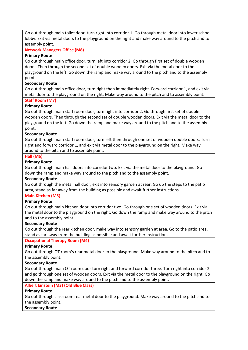Go out through main toilet door, turn right into corridor 1. Go through metal door into lower school lobby. Exit via metal doors to the playground on the right and make way around to the pitch and to assembly point.

#### **Network Managers Office (M8)**

#### **Primary Route**

Go out through main office door, turn left into corridor 2. Go through first set of double wooden doors. Then through the second set of double wooden doors. Exit via the metal door to the playground on the left. Go down the ramp and make way around to the pitch and to the assembly point.

#### **Secondary Route**

Go out through main office door, turn right then immediately right. Forward corridor 1, and exit via metal door to the playground on the right. Make way around to the pitch and to assembly point.

#### **Staff Room (M7)**

#### **Primary Route**

Go out through main staff room door, turn right into corridor 2. Go through first set of double wooden doors. Then through the second set of double wooden doors. Exit via the metal door to the playground on the left. Go down the ramp and make way around to the pitch and to the assembly point.

#### **Secondary Route**

Go out through main staff room door, turn left then through one set of wooden double doors. Turn right and forward corridor 1, and exit via metal door to the playground on the right. Make way around to the pitch and to assembly point.

#### **Hall (M6)**

#### **Primary Route**

Go out through main hall doors into corridor two. Exit via the metal door to the playground. Go down the ramp and make way around to the pitch and to the assembly point.

#### **Secondary Route**

Go out through the metal hall door, exit into sensory garden at rear. Go up the steps to the patio area, stand as far away from the building as possible and await further instructions.

#### **Main Kitchen (M5)**

#### **Primary Route**

Go out through main kitchen door into corridor two. Go through one set of wooden doors. Exit via the metal door to the playground on the right. Go down the ramp and make way around to the pitch and to the assembly point.

#### **Secondary Route**

Go out through the rear kitchen door, make way into sensory garden at area. Go to the patio area, stand as far away from the building as possible and await further instructions.

#### **Occupational Therapy Room (M4)**

#### **Primary Route**

Go out through OT room's rear metal door to the playground. Make way around to the pitch and to the assembly point.

#### **Secondary Route**

Go out through main OT room door turn right and forward corridor three. Turn right into corridor 2 and go through one set of wooden doors. Exit via the metal door to the playground on the right. Go down the ramp and make way around to the pitch and to the assembly point.

#### **Albert Einstein (M3) (Old Blue Class)**

#### **Primary Route**

Go out through classroom rear metal door to the playground. Make way around to the pitch and to the assembly point.

#### **Secondary Route**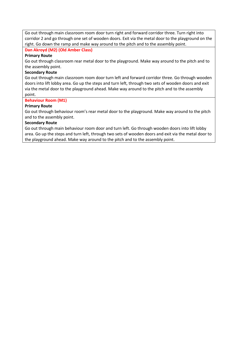Go out through main classroom room door turn right and forward corridor three. Turn right into corridor 2 and go through one set of wooden doors. Exit via the metal door to the playground on the right. Go down the ramp and make way around to the pitch and to the assembly point.

#### **Dan Akroyd (M2) (Old Amber Class)**

#### **Primary Route**

Go out through classroom rear metal door to the playground. Make way around to the pitch and to the assembly point.

#### **Secondary Route**

Go out through main classroom room door turn left and forward corridor three. Go through wooden doors into lift lobby area. Go up the steps and turn left, through two sets of wooden doors and exit via the metal door to the playground ahead. Make way around to the pitch and to the assembly point.

#### **Behaviour Room (M1)**

#### **Primary Route**

Go out through behaviour room's rear metal door to the playground. Make way around to the pitch and to the assembly point.

#### **Secondary Route**

Go out through main behaviour room door and turn left. Go through wooden doors into lift lobby area. Go up the steps and turn left, through two sets of wooden doors and exit via the metal door to the playground ahead. Make way around to the pitch and to the assembly point.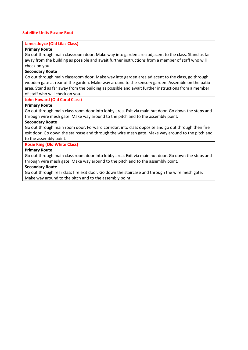#### **Satellite Units Escape Rout**

#### **James Joyce (Old Lilac Class)**

#### **Primary Route**

Go out through main classroom door. Make way into garden area adjacent to the class. Stand as far away from the building as possible and await further instructions from a member of staff who will check on you.

#### **Secondary Route**

Go out through main classroom door. Make way into garden area adjacent to the class, go through wooden gate at rear of the garden. Make way around to the sensory garden. Assemble on the patio area. Stand as far away from the building as possible and await further instructions from a member of staff who will check on you.

#### **John Howard (Old Coral Class)**

#### **Primary Route**

Go out through main class room door into lobby area. Exit via main hut door. Go down the steps and through wire mesh gate. Make way around to the pitch and to the assembly point.

#### **Secondary Route**

Go out through main room door. Forward corridor, into class opposite and go out through their fire exit door. Go down the staircase and through the wire mesh gate. Make way around to the pitch and to the assembly point.

#### **Rosie King (Old White Class)**

#### **Primary Route**

Go out through main class room door into lobby area. Exit via main hut door. Go down the steps and through wire mesh gate. Make way around to the pitch and to the assembly point.

#### **Secondary Route**

Go out through rear class fire exit door. Go down the staircase and through the wire mesh gate. Make way around to the pitch and to the assembly point.